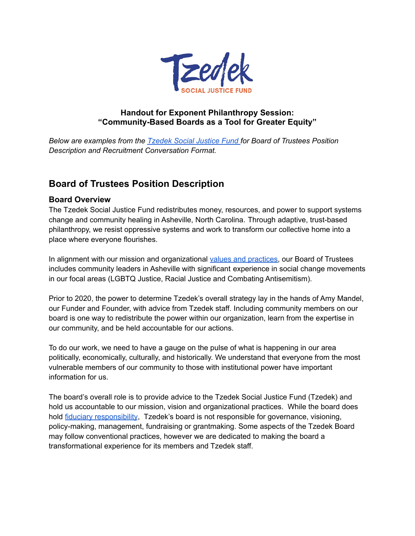

### **Handout for Exponent Philanthropy Session: "Community-Based Boards as a Tool for Greater Equity"**

*Below are examples from the [Tzedek](https://tzedeksocialjusticefund.org/) Social Justice Fund for Board of Trustees Position Description and Recruitment Conversation Format.*

# **Board of Trustees Position Description**

#### **Board Overview**

The Tzedek Social Justice Fund redistributes money, resources, and power to support systems change and community healing in Asheville, North Carolina. Through adaptive, trust-based philanthropy, we resist oppressive systems and work to transform our collective home into a place where everyone flourishes.

In alignment with our mission and organizational values and [practices,](https://tzedeksocialjusticefund.org/) our Board of Trustees includes community leaders in Asheville with significant experience in social change movements in our focal areas (LGBTQ Justice, Racial Justice and Combating Antisemitism).

Prior to 2020, the power to determine Tzedek's overall strategy lay in the hands of Amy Mandel, our Funder and Founder, with advice from Tzedek staff. Including community members on our board is one way to redistribute the power within our organization, learn from the expertise in our community, and be held accountable for our actions.

To do our work, we need to have a gauge on the pulse of what is happening in our area politically, economically, culturally, and historically. We understand that everyone from the most vulnerable members of our community to those with institutional power have important information for us.

The board's overall role is to provide advice to the Tzedek Social Justice Fund (Tzedek) and hold us accountable to our mission, vision and organizational practices. While the board does hold fiduciary [responsibility](https://www.boardeffect.com/blog/fiduciary-responsibilities-nonprofit-board-directors/), Tzedek's board is not responsible for governance, visioning, policy-making, management, fundraising or grantmaking. Some aspects of the Tzedek Board may follow conventional practices, however we are dedicated to making the board a transformational experience for its members and Tzedek staff.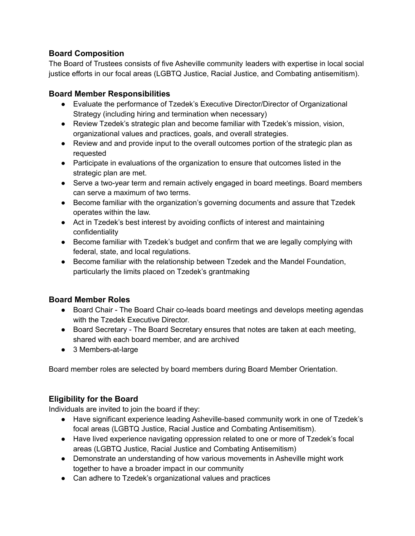## **Board Composition**

The Board of Trustees consists of five Asheville community leaders with expertise in local social justice efforts in our focal areas (LGBTQ Justice, Racial Justice, and Combating antisemitism).

# **Board Member Responsibilities**

- Evaluate the performance of Tzedek's Executive Director/Director of Organizational Strategy (including hiring and termination when necessary)
- Review Tzedek's strategic plan and become familiar with Tzedek's mission, vision, organizational values and practices, goals, and overall strategies.
- Review and and provide input to the overall outcomes portion of the strategic plan as requested
- Participate in evaluations of the organization to ensure that outcomes listed in the strategic plan are met.
- Serve a two-year term and remain actively engaged in board meetings. Board members can serve a maximum of two terms.
- Become familiar with the organization's governing documents and assure that Tzedek operates within the law.
- Act in Tzedek's best interest by avoiding conflicts of interest and maintaining confidentiality
- Become familiar with Tzedek's budget and confirm that we are legally complying with federal, state, and local regulations.
- Become familiar with the relationship between Tzedek and the Mandel Foundation, particularly the limits placed on Tzedek's grantmaking

## **Board Member Roles**

- Board Chair The Board Chair co-leads board meetings and develops meeting agendas with the Tzedek Executive Director.
- Board Secretary The Board Secretary ensures that notes are taken at each meeting, shared with each board member, and are archived
- 3 Members-at-large

Board member roles are selected by board members during Board Member Orientation.

# **Eligibility for the Board**

Individuals are invited to join the board if they:

- Have significant experience leading Asheville-based community work in one of Tzedek's focal areas (LGBTQ Justice, Racial Justice and Combating Antisemitism).
- Have lived experience navigating oppression related to one or more of Tzedek's focal areas (LGBTQ Justice, Racial Justice and Combating Antisemitism)
- Demonstrate an understanding of how various movements in Asheville might work together to have a broader impact in our community
- Can adhere to Tzedek's organizational values and practices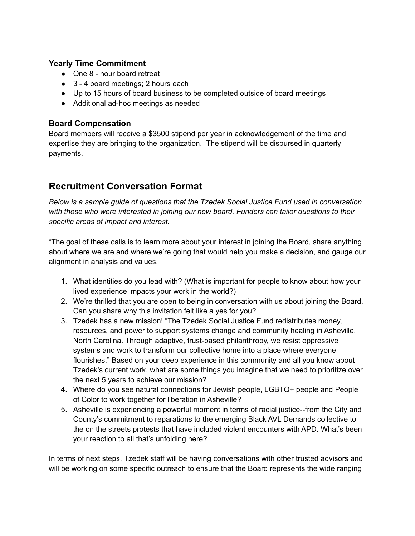#### **Yearly Time Commitment**

- One 8 hour board retreat
- 3 4 board meetings; 2 hours each
- Up to 15 hours of board business to be completed outside of board meetings
- Additional ad-hoc meetings as needed

### **Board Compensation**

Board members will receive a \$3500 stipend per year in acknowledgement of the time and expertise they are bringing to the organization. The stipend will be disbursed in quarterly payments.

# **Recruitment Conversation Format**

*Below is a sample guide of questions that the Tzedek Social Justice Fund used in conversation with those who were interested in joining our new board. Funders can tailor questions to their specific areas of impact and interest.*

"The goal of these calls is to learn more about your interest in joining the Board, share anything about where we are and where we're going that would help you make a decision, and gauge our alignment in analysis and values.

- 1. What identities do you lead with? (What is important for people to know about how your lived experience impacts your work in the world?)
- 2. We're thrilled that you are open to being in conversation with us about joining the Board. Can you share why this invitation felt like a yes for you?
- 3. Tzedek has a new mission! "The Tzedek Social Justice Fund redistributes money, resources, and power to support systems change and community healing in Asheville, North Carolina. Through adaptive, trust-based philanthropy, we resist oppressive systems and work to transform our collective home into a place where everyone flourishes." Based on your deep experience in this community and all you know about Tzedek's current work, what are some things you imagine that we need to prioritize over the next 5 years to achieve our mission?
- 4. Where do you see natural connections for Jewish people, LGBTQ+ people and People of Color to work together for liberation in Asheville?
- 5. Asheville is experiencing a powerful moment in terms of racial justice--from the City and County's commitment to reparations to the emerging Black AVL Demands collective to the on the streets protests that have included violent encounters with APD. What's been your reaction to all that's unfolding here?

In terms of next steps, Tzedek staff will be having conversations with other trusted advisors and will be working on some specific outreach to ensure that the Board represents the wide ranging